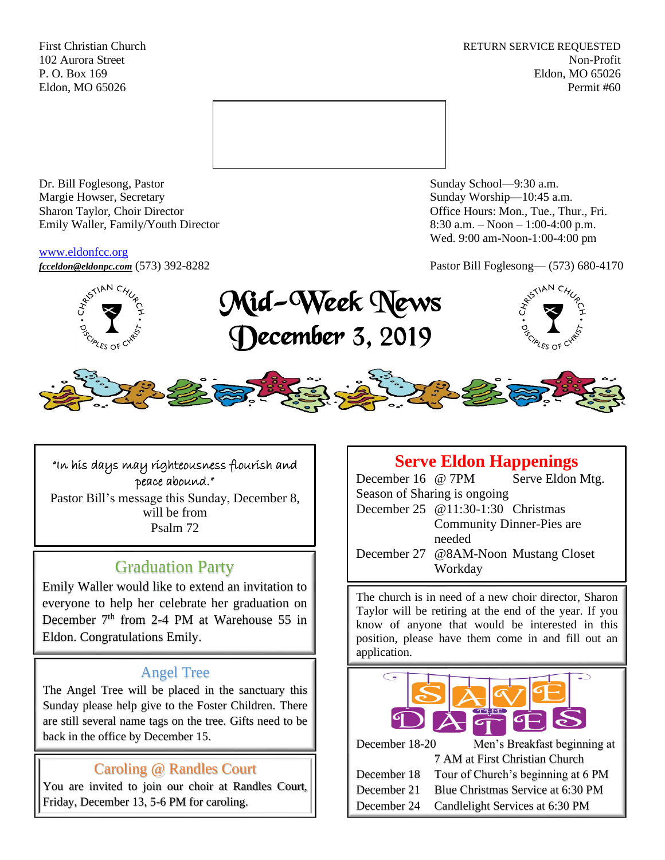First Christian Church **RETURN SERVICE REQUESTED** 102 Aurora Street Non-Profit P. O. Box 169 Eldon, MO 65026 Eldon, MO 65026 Permit #60



Dr. Bill Foglesong, Pastor Sunday School—9:30 a.m. Margie Howser, Secretary Sunday Worship—10:45 a.m. Sharon Taylor, Choir Director **Channel Controllering Controllering Controllering Controllering Controllering Controllering Controllering Controllering Controllering Controllering Controllering Controllering Controllering C** Emily Waller, Family/Youth Director 8:30 a.m. – Noon – 1:00-4:00 p.m.

#### [www.eldonfcc.org](http://www.eldonfcc.org/)

Wed. 9:00 am-Noon-1:00-4:00 pm

*[fcceldon@eldonpc.com](mailto:fcceldon@eldonpc.com)* (573) 392-8282 Pastor Bill Foglesong— (573) 680-4170



# Mid-Week News December 3, 2019





## "In his days may righteousness flourish and peace abound." Pastor Bill's message this Sunday, December 8, will be from

Psalm 72

# Graduation Party

Emily Waller would like to extend an invitation to everyone to help her celebrate her graduation on December  $7<sup>th</sup>$  from 2-4 PM at Warehouse 55 in Eldon. Congratulations Emily.

# Angel Tree

The Angel Tree will be placed in the sanctuary this Sunday please help give to the Foster Children. There are still several name tags on the tree. Gifts need to be back in the office by December 15.

# Caroling @ Randles Court

You are invited to join our choir at Randles Court, Friday, December 13, 5-6 PM for caroling.

# **Serve Eldon Happenings** December 16 @ 7PM Serve Eldon Mtg. Season of Sharing is ongoing December 25 @11:30-1:30 Christmas Community Dinner-Pies are needed December 27 @8AM-Noon Mustang Closet Workday

The church is in need of a new choir director, Sharon Taylor will be retiring at the end of the year. If you know of anyone that would be interested in this position, please have them come in and fill out an application.



December 24 Candlelight Services at 6:30 PM